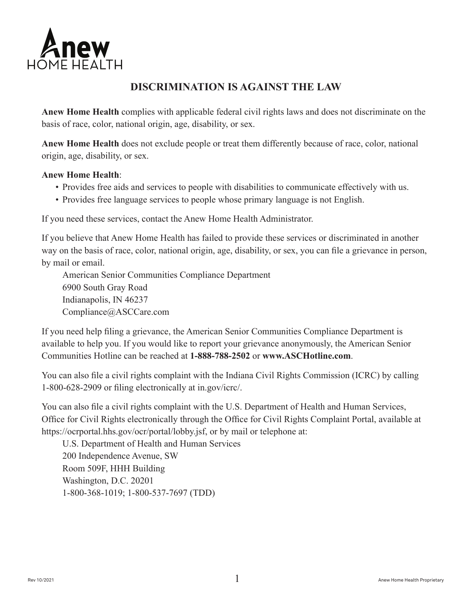

## **DISCRIMINATION IS AGAINST THE LAW**

**Anew Home Health** complies with applicable federal civil rights laws and does not discriminate on the basis of race, color, national origin, age, disability, or sex.

**Anew Home Health** does not exclude people or treat them differently because of race, color, national origin, age, disability, or sex.

## **Anew Home Health**:

- Provides free aids and services to people with disabilities to communicate effectively with us.
- Provides free language services to people whose primary language is not English.

If you need these services, contact the Anew Home Health Administrator.

If you believe that Anew Home Health has failed to provide these services or discriminated in another way on the basis of race, color, national origin, age, disability, or sex, you can file a grievance in person, by mail or email.

 American Senior Communities Compliance Department 6900 South Gray Road Indianapolis, IN 46237 Compliance@ASCCare.com

If you need help filing a grievance, the American Senior Communities Compliance Department is available to help you. If you would like to report your grievance anonymously, the American Senior Communities Hotline can be reached at **1-888-788-2502** or **www.ASCHotline.com**.

You can also file a civil rights complaint with the Indiana Civil Rights Commission (ICRC) by calling 1-800-628-2909 or filing electronically at in.gov/icrc/.

You can also file a civil rights complaint with the U.S. Department of Health and Human Services, Office for Civil Rights electronically through the Office for Civil Rights Complaint Portal, available at https://ocrportal.hhs.gov/ocr/portal/lobby.jsf, or by mail or telephone at:

U.S. Department of Health and Human Services 200 Independence Avenue, SW Room 509F, HHH Building Washington, D.C. 20201 1-800-368-1019; 1-800-537-7697 (TDD)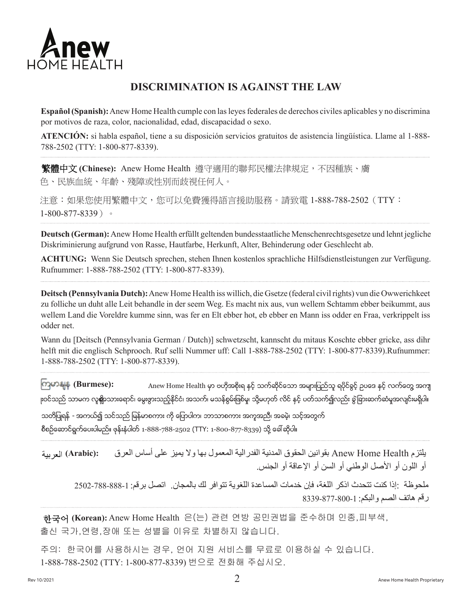

## **DISCRIMINATION IS AGAINST THE LAW**

**Español (Spanish):** Anew Home Health cumple con las leyes federales de derechos civiles aplicables y no discrimina por motivos de raza, color, nacionalidad, edad, discapacidad o sexo.

**ATENCIÓN:** si habla español, tiene a su disposición servicios gratuitos de asistencia lingüística. Llame al 1-888- 788-2502 (TTY: 1-800-877-8339).

(Chinese): Anew Home Health 遵守適用的聯邦民權法律規定,不因種族、膚 色、民族血統、年齡、殘障或性別而歧視任何人。

注意:如果您使用繁體中文,您可以免費獲得語言援助服務。請致電 1-888-788-2502(TTY: 1-800-877-8339)。

**Deutsch (German):**Anew Home Health erfüllt geltenden bundesstaatliche Menschenrechtsgesetze und lehnt jegliche Diskriminierung aufgrund von Rasse, Hautfarbe, Herkunft, Alter, Behinderung oder Geschlecht ab.

**ACHTUNG:** Wenn Sie Deutsch sprechen, stehen Ihnen kostenlos sprachliche Hilfsdienstleistungen zur Verfügung. Rufnummer: 1-888-788-2502 (TTY: 1-800-877-8339).

**Deitsch (Pennsylvania Dutch):**Anew Home Health iss willich, die Gsetze (federal civil rights) vun die Owwerichkeet zu folliche un duht alle Leit behandle in der seem Weg. Es macht nix aus, vun wellem Schtamm ebber beikummt, aus wellem Land die Voreldre kumme sinn, was fer en Elt ebber hot, eb ebber en Mann iss odder en Fraa, verkrippelt iss odder net.

Wann du [Deitsch (Pennsylvania German / Dutch)] schwetzscht, kannscht du mitaus Koschte ebber gricke, ass dihr helft mit die englisch Schprooch. Ruf selli Nummer uff: Call 1-888-788-2502 (TTY: 1-800-877-8339).Rufnummer: 1-888-788-2502 (TTY: 1-800-877-8339).

Anew Home Health မှာ ဗဟိုအစိုးရ နှင့် သက်ဆိုင်သော အများပြည်သူ ရပိုင်ခွင့် ဥပဒေ နှင့် လက်တွေ့ အကျ <sub>၊ီ</sub>၀င်သည် သာမက လူ**ရို**ာသားရောင်၊ မွေးဖွားသည့်နိုင်ငံ၊ အသက်၊ မသန်စွမ်းဖြစ်မှု၊ သို့မဟုတ် လိင် နှင့် ပတ်သက်၍လည်း ခွဲခြားဆက်ဆံမှုအလျင်းမရှိပါ။ **(Burmese):**

သတိပြုရန် - အကယ်၍ သင်သည် မြန်မာစကား ကို ပြောပါက၊ ဘာသာစကား အကူအညီ၊ အခမဲ့၊ သင့်အတွက် စီစဉ်ဆောင်ရွက်ပေးပါမည်။ ဖုန်းနံပါတ် 1-888-788-2502 (TTY: 1-800-877-8339) သို့ ခေါ် ဆိုပါ။

یلتزم Health Home Anew بقوانین الحقوق المدنیة الفدرالیة المعمول بھا ولا یمیز على أساس العرق أو اللون أو الأصل الوطني أو السن أو الإعاقة أو الجنس. **(Arabic):**

ملحوظة :إذا كنت تتحدث اذكر اللغة، فإن خدمات المساعدة اللغوية تتوافر لك بالمجان. اتصل برقم: 1-888-788-2502 رقم هاتف الصم والبكم: 1-800-8339-8339

 Anew Home Health 은(는) 관련 연방 공민권법을 준수하며 인종,피부색, **(Korean):**출신 국가,연령,장애 또는 성별을 이유로 차별하지 않습니다.

주의: 한국어를 사용하시는 경우, 언어 지원 서비스를 무료로 이용하실 수 있습니다. 1-888-788-2502 (TTY: 1-800-877-8339) 번으로 전화해 주십시오.